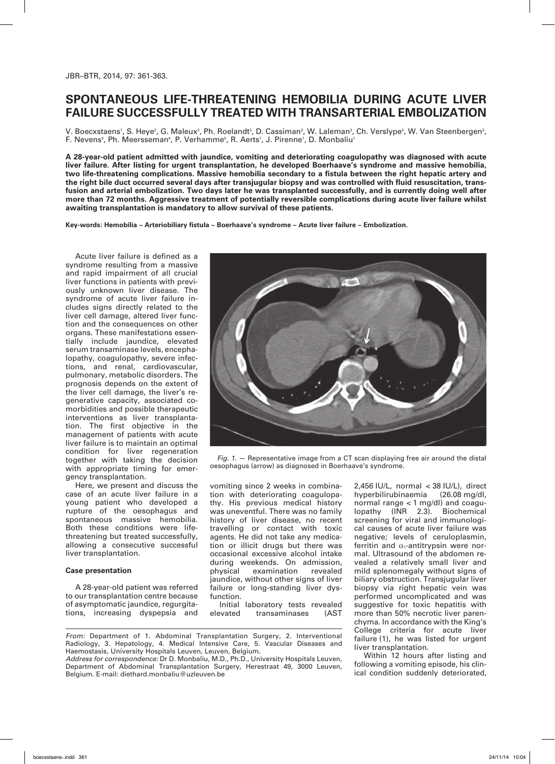# **Spontaneous life-threatening hemobilia during acute liver failure successfully treated with transarterial embolization**

V. Boecxstaens', S. Heye², G. Maleux², Ph. Roelandt', D. Cassiman', W. Laleman', Ch. Verslype', W. Van Steenbergen', F. Nevens<sup>3</sup>, Ph. Meersseman<sup>4</sup>, P. Verhamme<sup>5</sup>, R. Aerts<sup>1</sup>, J. Pirenne<sup>1</sup>, D. Monbaliu<sup>1</sup>

**A 28-year-old patient admitted with jaundice, vomiting and deteriorating coagulopathy was diagnosed with acute liver failure. After listing for urgent transplantation, he developed Boerhaave's syndrome and massive hemobilia, two life-threatening complications. Massive hemobilia secondary to a fistula between the right hepatic artery and the right bile duct occurred several days after transjugular biopsy and was controlled with fluid resuscitation, transfusion and arterial embolization. Two days later he was transplanted successfully, and is currently doing well after more than 72 months. Aggressive treatment of potentially reversible complications during acute liver failure whilst awaiting transplantation is mandatory to allow survival of these patients.** 

**Key-words: Hemobilia – Arteriobiliary fistula – Boerhaave's syndrome – Acute liver failure – Embolization.**

Acute liver failure is defined as a syndrome resulting from a massive and rapid impairment of all crucial liver functions in patients with previously unknown liver disease. The syndrome of acute liver failure includes signs directly related to the liver cell damage, altered liver function and the consequences on other organs. These manifestations essentially include jaundice, elevated serum transaminase levels, encephalopathy, coagulopathy, severe infections, and renal, cardiovascular, pulmonary, metabolic disorders. The prognosis depends on the extent of the liver cell damage, the liver's regenerative capacity, associated comorbidities and possible therapeutic interventions as liver transplantation. The first objective in the management of patients with acute liver failure is to maintain an optimal condition for liver regeneration together with taking the decision with appropriate timing for emergency transplantation.

Here, we present and discuss the case of an acute liver failure in a young patient who developed a rupture of the oesophagus and spontaneous massive hemobilia. Both these conditions were lifethreatening but treated successfully, allowing a consecutive successful liver transplantation.

## **Case presentation**

A 28-year-old patient was referred to our transplantation centre because of asymptomatic jaundice, regurgitations, increasing dyspepsia and



*Fig. 1.* — Representative image from a CT scan displaying free air around the distal oesophagus (arrow) as diagnosed in Boerhaave's syndrome.

vomiting since 2 weeks in combination with deteriorating coagulopathy. His previous medical history was uneventful. There was no family history of liver disease, no recent travelling or contact with toxic agents. He did not take any medication or illicit drugs but there was occasional excessive alcohol intake during weekends. On admission, physical examination revealed jaundice, without other signs of liver failure or long-standing liver dysfunction.

Initial laboratory tests revealed<br>elevated transaminases (AST transaminases

*From:* Department of 1. Abdominal Transplantation Surgery, 2. Interventional Radiology, 3. Hepatology, 4. Medical Intensive Care, 5. Vascular Diseases and Haemostasis, University Hospitals Leuven, Leuven, Belgium.

*Address for correspondence:* Dr D. Monbaliu, M.D., Ph.D., University Hospitals Leuven, Department of Abdominal Transplantation Surgery, Herestraat 49, 3000 Leuven, Belgium. E-mail: diethard.monbaliu@uzleuven.be

2,456 IU/L, normal < 38 IU/L), direct<br>hyperbilirubinaemia (26.08 mg/dl, hyperbilirubinaemia normal range < 1 mg/dl) and coagulopathy (INR 2.3). Biochemical screening for viral and immunological causes of acute liver failure was negative; levels of ceruloplasmin, ferritin and  $\alpha_1$ -antitrypsin were normal. Ultrasound of the abdomen revealed a relatively small liver and mild splenomegaly without signs of biliary obstruction. Transjugular liver biopsy via right hepatic vein was performed uncomplicated and was suggestive for toxic hepatitis with more than 50% necrotic liver parenchyma. In accordance with the King's College criteria for acute liver failure (1), he was listed for urgent liver transplantation.

Within 12 hours after listing and following a vomiting episode, his clinical condition suddenly deteriorated,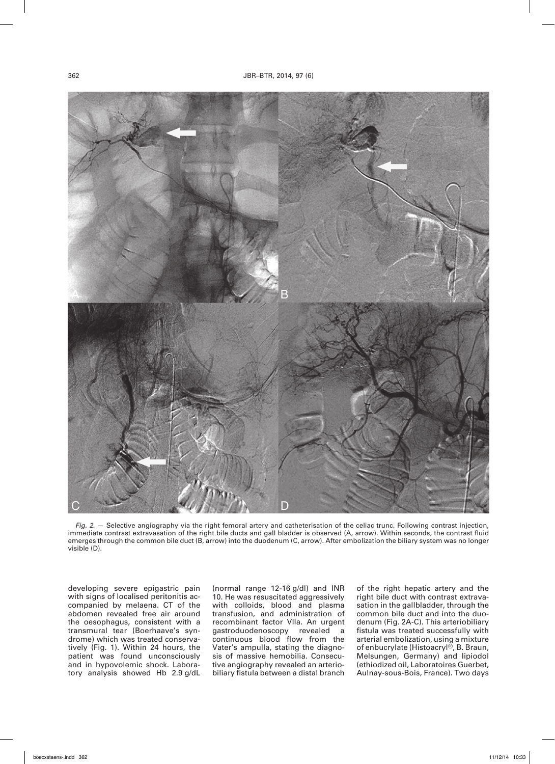

*Fig. 2.* — Selective angiography via the right femoral artery and catheterisation of the celiac trunc. Following contrast injection, immediate contrast extravasation of the right bile ducts and gall bladder is observed (A, arrow). Within seconds, the contrast fluid emerges through the common bile duct (B, arrow) into the duodenum (C, arrow). After embolization the biliary system was no longer visible (D).

developing severe epigastric pain with signs of localised peritonitis accompanied by melaena. CT of the abdomen revealed free air around the oesophagus, consistent with a transmural tear (Boerhaave's syndrome) which was treated conservatively (Fig. 1). Within 24 hours, the patient was found unconsciously and in hypovolemic shock. Laboratory analysis showed Hb 2.9 g/dL

(normal range 12-16 g/dl) and INR 10. He was resuscitated aggressively with colloids, blood and plasma transfusion, and administration of recombinant factor VIIa. An urgent gastroduodenoscopy revealed a continuous blood flow from the Vater's ampulla, stating the diagnosis of massive hemobilia. Consecutive angiography revealed an arteriobiliary fistula between a distal branch of the right hepatic artery and the right bile duct with contrast extravasation in the gallbladder, through the common bile duct and into the duodenum (Fig. 2A-C). This arteriobiliary fistula was treated successfully with arterial embolization, using a mixture of enbucrylate (Histoacryl®, B. Braun, Melsungen, Germany) and lipiodol (ethiodized oil, Laboratoires Guerbet, Aulnay-sous-Bois, France). Two days